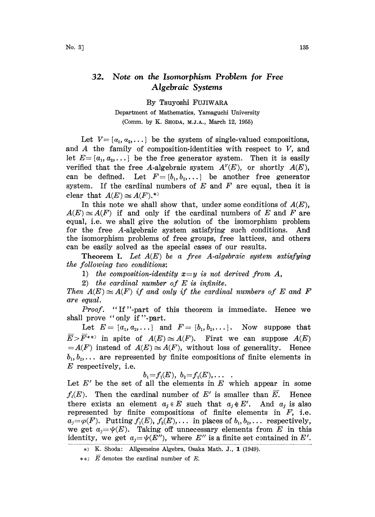## 32. Note on the Isomorphism Problem for Free Algebraic Systems

By Tsuyoshi FUJIWARA

Department of Mathematics, Yamaguchi University (Comm. by K. SHODA, M.J.A., March 12, 1955)

Let  $V = \{a_1, a_2, \ldots\}$  be the system of single-valued compositions, and  $A$  the family of composition-identities with respect to  $V$ , and let  $E = \{a_1, a_2, \dots\}$  be the free generator system. Then it is easily verified that the free A-algebraic system  $A^{\nu}(E)$ , or shortly  $A(E)$ , can be defined. Let  $F=[b_1,b_2,\ldots]$  be another free generator system. If the cardinal numbers of  $E$  and  $F$  are equal, then it is clear that  $A(E) \simeq A(F)$ .\*

In this note we shall show that, under some conditions of  $A(E)$ ,  $A(E) \simeq A(F)$  if and only if the cardinal numbers of E and F are equal, i.e. we shall give the solution of the isomorphism problem for the free A-algebraic system satisfying such conditions. And the isomorphism problems of free groups, free lattices, and others can be easily solved as the special cases of our results.

**Theorem I.** Let  $A(E)$  be a free A-algebraic system satisfying the following two conditions:.

1) the composition-identity  $x=y$  is not derived from A,

2) the cardinal number of  $E$  is infinite.

Then  $A(E) \cong A(F)$  if and only if the cardinal numbers of E and F are equal.

Proof. "If"-part of this theorem is immediate. Hence we shall prove "only if"-part.

Let  $E = \{a_1, a_2, ...\}$  and  $F = \{b_1, b_2, ...\}$ . Now suppose that  $\overline{E} > \overline{F}^{**}$  in spite of  $A(E) \cong A(F)$ . First we can suppose  $A(E)$  $=A(F)$  instead of  $A(E)\cong A(F)$ , without loss of generality. Hence  $b_1, b_2, \ldots$  are represented by finite compositions of finite elements in E respectively, i.e.

 $b_1 = f_1(E), b_2 = f_2(E), \ldots$ 

Let  $E'$  be the set of all the elements in  $E$  which appear in some  $f_i(E)$ . Then the cardinal number of E' is smaller than E. Hence there exists an element  $a_i \in E$  such that  $a_i \notin E'$ . And  $a_i$  is also represented by finite compositions of finite elements in  $F$ , i.e.  $a_j = \varphi(F)$ . Putting  $f_1(E), f_2(E), \ldots$  in places of  $b_1, b_2, \ldots$  respectively, we get  $a_j = \psi(E)$ . Taking off unnecessary elements from E in this identity, we get  $a_j = \psi(E'')$ , where E'' is a finite set contained in E'.

K. Shoda: Allgemeine Algebra, Osaka Math. J., 1 (1949).

<sup>\*\*&</sup>gt;  $\overline{E}$  denotes the cardinal number of E.